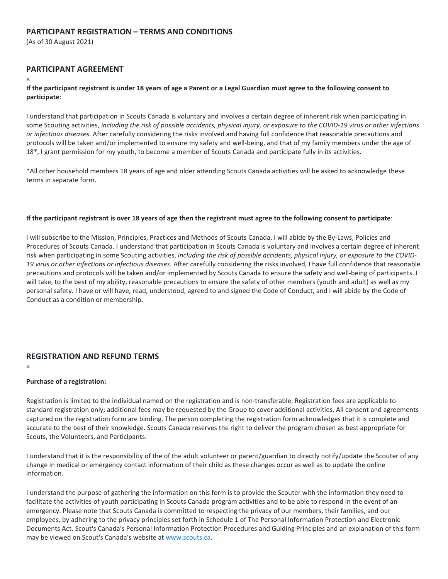# **PARTICIPANT REGISTRATION – TERMS AND CONDITIONS**

(As of 30 August 2021)

# **PARTICIPANT AGREEMENT**

×

### **If the participant registrant is under 18 years of age a Parent or a Legal Guardian must agree to the following consent to participate**:

I understand that participation in Scouts Canada is voluntary and involves a certain degree of inherent risk when participating in some Scouting activities, *including the risk of possible accidents, physical injury, or exposure to the COVID-19 virus or other infections or infectious diseases*. After carefully considering the risks involved and having full confidence that reasonable precautions and protocols will be taken and/or implemented to ensure my safety and well-being, and that of my family members under the age of 18\*, I grant permission for my youth, to become a member of Scouts Canada and participate fully in its activities.

\*All other household members 18 years of age and older attending Scouts Canada activities will be asked to acknowledge these terms in separate form.

### **If the participant registrant is over 18 years of age then the registrant must agree to the following consent to participate**:

I will subscribe to the Mission, Principles, Practices and Methods of Scouts Canada. I will abide by the By-Laws, Policies and Procedures of Scouts Canada. I understand that participation in Scouts Canada is voluntary and involves a certain degree of inherent risk when participating in some Scouting activities, *including the risk of possible accidents, physical injury, or exposure to the COVID-19 virus or other infections or infectious diseases*. After carefully considering the risks involved, I have full confidence that reasonable precautions and protocols will be taken and/or implemented by Scouts Canada to ensure the safety and well-being of participants. I will take, to the best of my ability, reasonable precautions to ensure the safety of other members (youth and adult) as well as my personal safety. I have or will have, read, understood, agreed to and signed the Code of Conduct, and I will abide by the Code of Conduct as a condition or membership.

# **REGISTRATION AND REFUND TERMS**

×

# **Purchase of a registration:**

Registration is limited to the individual named on the registration and is non-transferable. Registration fees are applicable to standard registration only; additional fees may be requested by the Group to cover additional activities. All consent and agreements captured on the registration form are binding. The person completing the registration form acknowledges that it is complete and accurate to the best of their knowledge. Scouts Canada reserves the right to deliver the program chosen as best appropriate for Scouts, the Volunteers, and Participants.

I understand that it is the responsibility of the of the adult volunteer or parent/guardian to directly notify/update the Scouter of any change in medical or emergency contact information of their child as these changes occur as well as to update the online information.

I understand the purpose of gathering the information on this form is to provide the Scouter with the information they need to facilitate the activities of youth participating in Scouts Canada program activities and to be able to respond in the event of an emergency. Please note that Scouts Canada is committed to respecting the privacy of our members, their families, and our employees, by adhering to the privacy principles set forth in Schedule 1 of The Personal Information Protection and Electronic Documents Act. Scout's Canada's Personal Information Protection Procedures and Guiding Principles and an explanation of this form may be viewed on Scout's Canada's website at [www.scouts.ca.](http://www.scouts.ca/)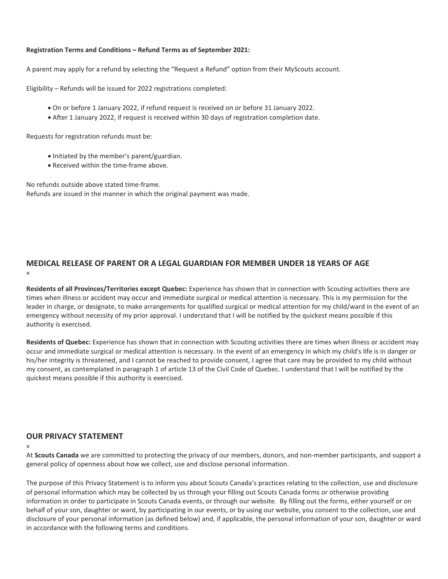### **Registration Terms and Conditions – Refund Terms as of September 2021:**

A parent may apply for a refund by selecting the "Request a Refund" option from their MyScouts account.

Eligibility – Refunds will be issued for 2022 registrations completed:

- On or before 1 January 2022, if refund request is received on or before 31 January 2022.
- After 1 January 2022, if request is received within 30 days of registration completion date.

Requests for registration refunds must be:

- Initiated by the member's parent/guardian.
- Received within the time-frame above.

No refunds outside above stated time-frame. Refunds are issued in the manner in which the original payment was made.

# **MEDICAL RELEASE OF PARENT OR A LEGAL GUARDIAN FOR MEMBER UNDER 18 YEARS OF AGE** ×

**Residents of all Provinces/Territories except Quebec:** Experience has shown that in connection with Scouting activities there are times when illness or accident may occur and immediate surgical or medical attention is necessary. This is my permission for the leader in charge, or designate, to make arrangements for qualified surgical or medical attention for my child/ward in the event of an emergency without necessity of my prior approval. I understand that I will be notified by the quickest means possible if this authority is exercised.

**Residents of Quebec:** Experience has shown that in connection with Scouting activities there are times when illness or accident may occur and immediate surgical or medical attention is necessary. In the event of an emergency in which my child's life is in danger or his/her integrity is threatened, and I cannot be reached to provide consent, I agree that care may be provided to my child without my consent, as contemplated in paragraph 1 of article 13 of the Civil Code of Quebec. I understand that I will be notified by the quickest means possible if this authority is exercised.

# **OUR PRIVACY STATEMENT**

×

At **Scouts Canada** we are committed to protecting the privacy of our members, donors, and non-member participants, and support a general policy of openness about how we collect, use and disclose personal information.

The purpose of this Privacy Statement is to inform you about Scouts Canada's practices relating to the collection, use and disclosure of personal information which may be collected by us through your filling out Scouts Canada forms or otherwise providing information in order to participate in Scouts Canada events, or through our website. By filling out the forms, either yourself or on behalf of your son, daughter or ward, by participating in our events, or by using our website, you consent to the collection, use and disclosure of your personal information (as defined below) and, if applicable, the personal information of your son, daughter or ward in accordance with the following terms and conditions.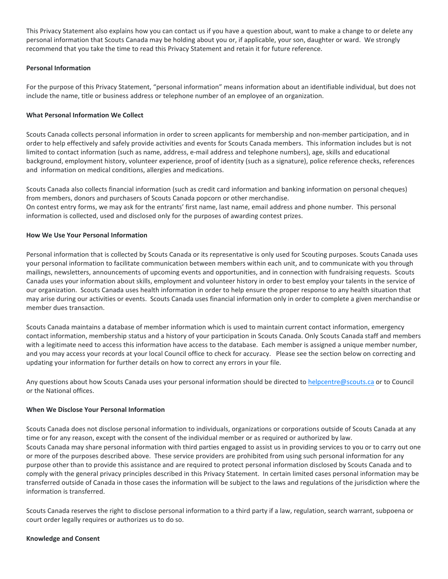This Privacy Statement also explains how you can contact us if you have a question about, want to make a change to or delete any personal information that Scouts Canada may be holding about you or, if applicable, your son, daughter or ward. We strongly recommend that you take the time to read this Privacy Statement and retain it for future reference.

# **Personal Information**

For the purpose of this Privacy Statement, "personal information" means information about an identifiable individual, but does not include the name, title or business address or telephone number of an employee of an organization.

# **What Personal Information We Collect**

Scouts Canada collects personal information in order to screen applicants for membership and non-member participation, and in order to help effectively and safely provide activities and events for Scouts Canada members. This information includes but is not limited to contact information (such as name, address, e-mail address and telephone numbers), age, skills and educational background, employment history, volunteer experience, proof of identity (such as a signature), police reference checks, references and information on medical conditions, allergies and medications.

Scouts Canada also collects financial information (such as credit card information and banking information on personal cheques) from members, donors and purchasers of Scouts Canada popcorn or other merchandise. On contest entry forms, we may ask for the entrants' first name, last name, email address and phone number. This personal information is collected, used and disclosed only for the purposes of awarding contest prizes.

# **How We Use Your Personal Information**

Personal information that is collected by Scouts Canada or its representative is only used for Scouting purposes. Scouts Canada uses your personal information to facilitate communication between members within each unit, and to communicate with you through mailings, newsletters, announcements of upcoming events and opportunities, and in connection with fundraising requests. Scouts Canada uses your information about skills, employment and volunteer history in order to best employ your talents in the service of our organization. Scouts Canada uses health information in order to help ensure the proper response to any health situation that may arise during our activities or events. Scouts Canada uses financial information only in order to complete a given merchandise or member dues transaction.

Scouts Canada maintains a database of member information which is used to maintain current contact information, emergency contact information, membership status and a history of your participation in Scouts Canada. Only Scouts Canada staff and members with a legitimate need to access this information have access to the database. Each member is assigned a unique member number, and you may access your records at your local Council office to check for accuracy. Please see the section below on correcting and updating your information for further details on how to correct any errors in your file.

Any questions about how Scouts Canada uses your personal information should be directed to [helpcentre@scouts.ca](mailto:helpcentre@scouts.ca) or to Council or the National offices.

# **When We Disclose Your Personal Information**

Scouts Canada does not disclose personal information to individuals, organizations or corporations outside of Scouts Canada at any time or for any reason, except with the consent of the individual member or as required or authorized by law. Scouts Canada may share personal information with third parties engaged to assist us in providing services to you or to carry out one or more of the purposes described above. These service providers are prohibited from using such personal information for any purpose other than to provide this assistance and are required to protect personal information disclosed by Scouts Canada and to comply with the general privacy principles described in this Privacy Statement. In certain limited cases personal information may be transferred outside of Canada in those cases the information will be subject to the laws and regulations of the jurisdiction where the information is transferred.

Scouts Canada reserves the right to disclose personal information to a third party if a law, regulation, search warrant, subpoena or court order legally requires or authorizes us to do so.

### **Knowledge and Consent**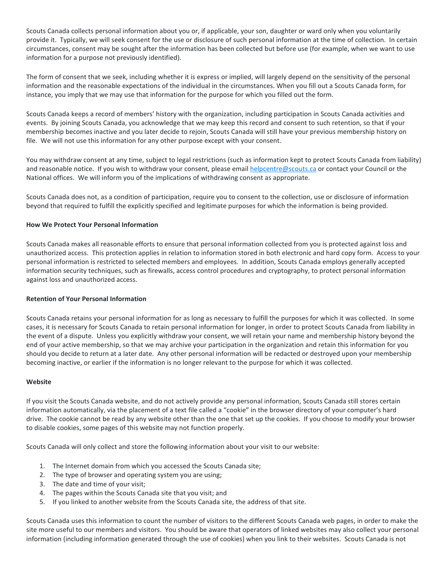Scouts Canada collects personal information about you or, if applicable, your son, daughter or ward only when you voluntarily provide it. Typically, we will seek consent for the use or disclosure of such personal information at the time of collection. In certain circumstances, consent may be sought after the information has been collected but before use (for example, when we want to use information for a purpose not previously identified).

The form of consent that we seek, including whether it is express or implied, will largely depend on the sensitivity of the personal information and the reasonable expectations of the individual in the circumstances. When you fill out a Scouts Canada form, for instance, you imply that we may use that information for the purpose for which you filled out the form.

Scouts Canada keeps a record of members' history with the organization, including participation in Scouts Canada activities and events. By joining Scouts Canada, you acknowledge that we may keep this record and consent to such retention, so that if your membership becomes inactive and you later decide to rejoin, Scouts Canada will still have your previous membership history on file. We will not use this information for any other purpose except with your consent.

You may withdraw consent at any time, subject to legal restrictions (such as information kept to protect Scouts Canada from liability) and reasonable notice. If you wish to withdraw your consent, please email [helpcentre@scouts.ca](mailto:helpcentre@scouts.ca) or contact your Council or the National offices.We will inform you of the implications of withdrawing consent as appropriate.

Scouts Canada does not, as a condition of participation, require you to consent to the collection, use or disclosure of information beyond that required to fulfill the explicitly specified and legitimate purposes for which the information is being provided.

### **How We Protect Your Personal Information**

Scouts Canada makes all reasonable efforts to ensure that personal information collected from you is protected against loss and unauthorized access. This protection applies in relation to information stored in both electronic and hard copy form. Access to your personal information is restricted to selected members and employees. In addition, Scouts Canada employs generally accepted information security techniques, such as firewalls, access control procedures and cryptography, to protect personal information against loss and unauthorized access.

# **Retention of Your Personal Information**

Scouts Canada retains your personal information for as long as necessary to fulfill the purposes for which it was collected. In some cases, it is necessary for Scouts Canada to retain personal information for longer, in order to protect Scouts Canada from liability in the event of a dispute. Unless you explicitly withdraw your consent, we will retain your name and membership history beyond the end of your active membership, so that we may archive your participation in the organization and retain this information for you should you decide to return at a later date. Any other personal information will be redacted or destroyed upon your membership becoming inactive, or earlier if the information is no longer relevant to the purpose for which it was collected.

### **Website**

If you visit the Scouts Canada website, and do not actively provide any personal information, Scouts Canada still stores certain information automatically, via the placement of a text file called a "cookie" in the browser directory of your computer's hard drive. The cookie cannot be read by any website other than the one that set up the cookies. If you choose to modify your browser to disable cookies, some pages of this website may not function properly.

Scouts Canada will only collect and store the following information about your visit to our website:

- 1. The Internet domain from which you accessed the Scouts Canada site;
- 2. The type of browser and operating system you are using;
- 3. The date and time of your visit;
- 4. The pages within the Scouts Canada site that you visit; and
- 5. If you linked to another website from the Scouts Canada site, the address of that site.

Scouts Canada uses this information to count the number of visitors to the different Scouts Canada web pages, in order to make the site more useful to our members and visitors. You should be aware that operators of linked websites may also collect your personal information (including information generated through the use of cookies) when you link to their websites. Scouts Canada is not